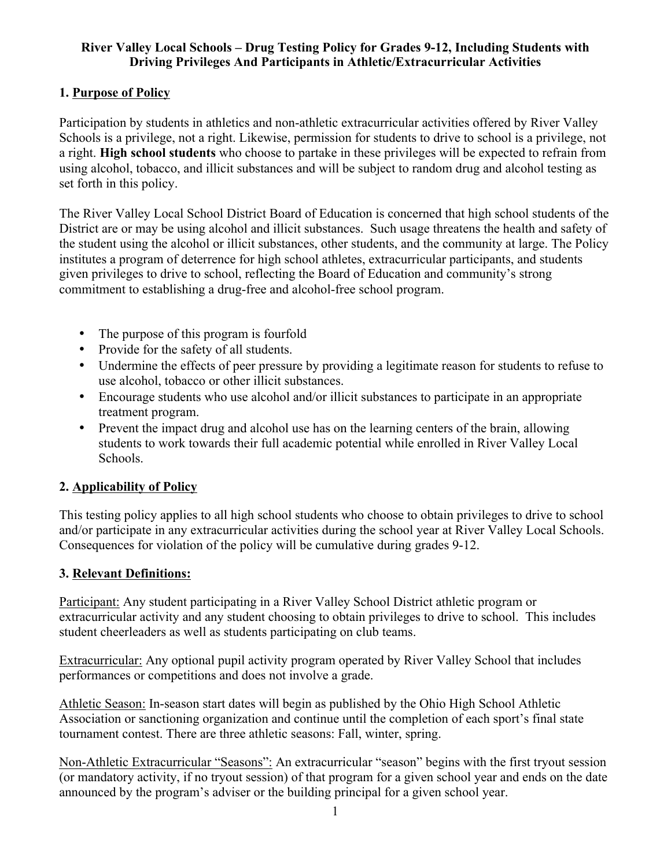## **River Valley Local Schools – Drug Testing Policy for Grades 9-12, Including Students with Driving Privileges And Participants in Athletic/Extracurricular Activities**

## **1. Purpose of Policy**

Participation by students in athletics and non-athletic extracurricular activities offered by River Valley Schools is a privilege, not a right. Likewise, permission for students to drive to school is a privilege, not a right. **High school students** who choose to partake in these privileges will be expected to refrain from using alcohol, tobacco, and illicit substances and will be subject to random drug and alcohol testing as set forth in this policy.

The River Valley Local School District Board of Education is concerned that high school students of the District are or may be using alcohol and illicit substances. Such usage threatens the health and safety of the student using the alcohol or illicit substances, other students, and the community at large. The Policy institutes a program of deterrence for high school athletes, extracurricular participants, and students given privileges to drive to school, reflecting the Board of Education and community's strong commitment to establishing a drug-free and alcohol-free school program.

- The purpose of this program is fourfold
- Provide for the safety of all students.
- Undermine the effects of peer pressure by providing a legitimate reason for students to refuse to use alcohol, tobacco or other illicit substances.
- Encourage students who use alcohol and/or illicit substances to participate in an appropriate treatment program.
- Prevent the impact drug and alcohol use has on the learning centers of the brain, allowing students to work towards their full academic potential while enrolled in River Valley Local Schools.

## **2. Applicability of Policy**

This testing policy applies to all high school students who choose to obtain privileges to drive to school and/or participate in any extracurricular activities during the school year at River Valley Local Schools. Consequences for violation of the policy will be cumulative during grades 9-12.

## **3. Relevant Definitions:**

Participant: Any student participating in a River Valley School District athletic program or extracurricular activity and any student choosing to obtain privileges to drive to school. This includes student cheerleaders as well as students participating on club teams.

Extracurricular: Any optional pupil activity program operated by River Valley School that includes performances or competitions and does not involve a grade.

Athletic Season: In-season start dates will begin as published by the Ohio High School Athletic Association or sanctioning organization and continue until the completion of each sport's final state tournament contest. There are three athletic seasons: Fall, winter, spring.

Non-Athletic Extracurricular "Seasons": An extracurricular "season" begins with the first tryout session (or mandatory activity, if no tryout session) of that program for a given school year and ends on the date announced by the program's adviser or the building principal for a given school year.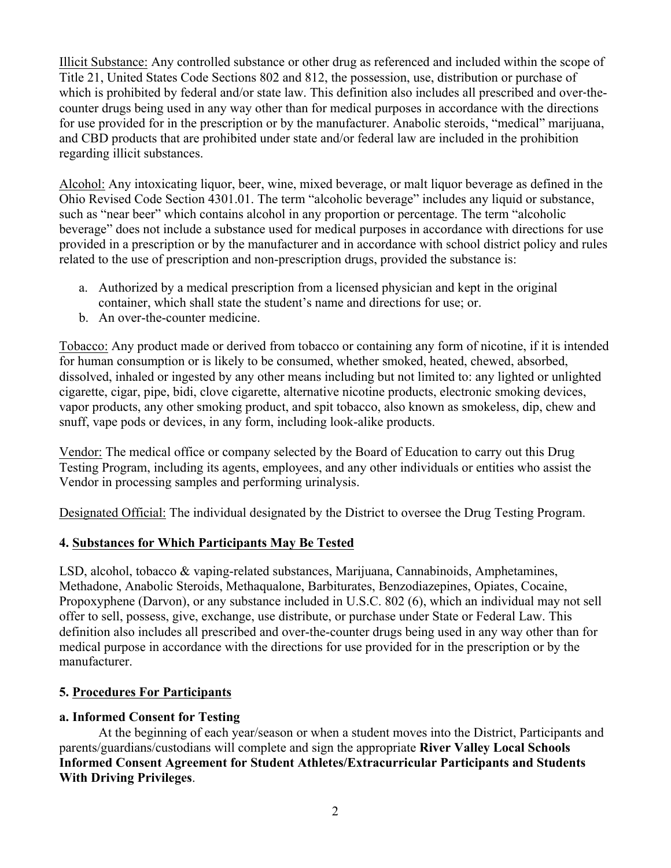Illicit Substance: Any controlled substance or other drug as referenced and included within the scope of Title 21, United States Code Sections 802 and 812, the possession, use, distribution or purchase of which is prohibited by federal and/or state law. This definition also includes all prescribed and over-thecounter drugs being used in any way other than for medical purposes in accordance with the directions for use provided for in the prescription or by the manufacturer. Anabolic steroids, "medical" marijuana, and CBD products that are prohibited under state and/or federal law are included in the prohibition regarding illicit substances.

Alcohol: Any intoxicating liquor, beer, wine, mixed beverage, or malt liquor beverage as defined in the Ohio Revised Code Section 4301.01. The term "alcoholic beverage" includes any liquid or substance, such as "near beer" which contains alcohol in any proportion or percentage. The term "alcoholic beverage" does not include a substance used for medical purposes in accordance with directions for use provided in a prescription or by the manufacturer and in accordance with school district policy and rules related to the use of prescription and non-prescription drugs, provided the substance is:

- a. Authorized by a medical prescription from a licensed physician and kept in the original container, which shall state the student's name and directions for use; or.
- b. An over-the-counter medicine.

Tobacco: Any product made or derived from tobacco or containing any form of nicotine, if it is intended for human consumption or is likely to be consumed, whether smoked, heated, chewed, absorbed, dissolved, inhaled or ingested by any other means including but not limited to: any lighted or unlighted cigarette, cigar, pipe, bidi, clove cigarette, alternative nicotine products, electronic smoking devices, vapor products, any other smoking product, and spit tobacco, also known as smokeless, dip, chew and snuff, vape pods or devices, in any form, including look-alike products.

Vendor: The medical office or company selected by the Board of Education to carry out this Drug Testing Program, including its agents, employees, and any other individuals or entities who assist the Vendor in processing samples and performing urinalysis.

Designated Official: The individual designated by the District to oversee the Drug Testing Program.

## **4. Substances for Which Participants May Be Tested**

LSD, alcohol, tobacco & vaping-related substances, Marijuana, Cannabinoids, Amphetamines, Methadone, Anabolic Steroids, Methaqualone, Barbiturates, Benzodiazepines, Opiates, Cocaine, Propoxyphene (Darvon), or any substance included in U.S.C. 802 (6), which an individual may not sell offer to sell, possess, give, exchange, use distribute, or purchase under State or Federal Law. This definition also includes all prescribed and over-the-counter drugs being used in any way other than for medical purpose in accordance with the directions for use provided for in the prescription or by the manufacturer.

## **5. Procedures For Participants**

## **a. Informed Consent for Testing**

At the beginning of each year/season or when a student moves into the District, Participants and parents/guardians/custodians will complete and sign the appropriate **River Valley Local Schools Informed Consent Agreement for Student Athletes/Extracurricular Participants and Students With Driving Privileges**.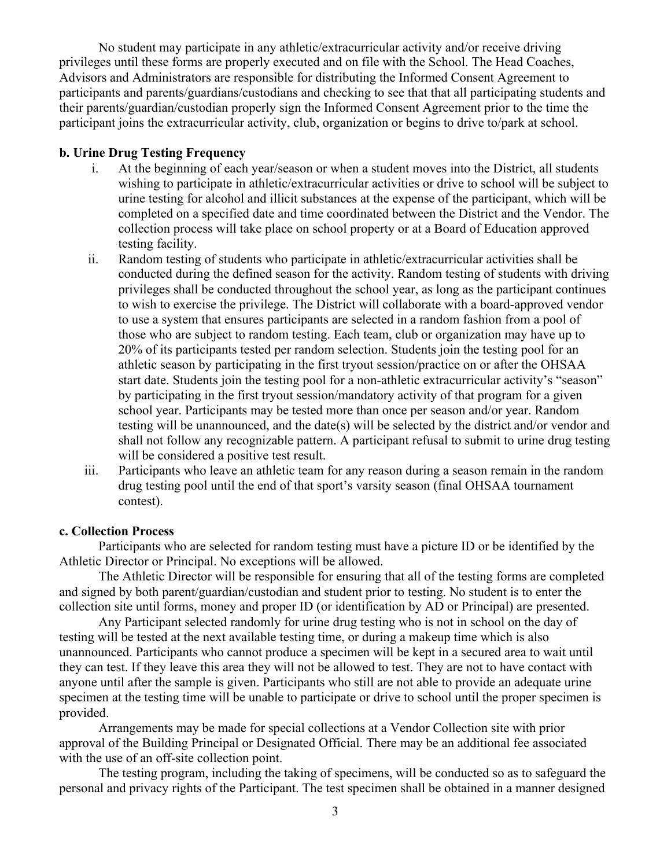No student may participate in any athletic/extracurricular activity and/or receive driving privileges until these forms are properly executed and on file with the School. The Head Coaches, Advisors and Administrators are responsible for distributing the Informed Consent Agreement to participants and parents/guardians/custodians and checking to see that that all participating students and their parents/guardian/custodian properly sign the Informed Consent Agreement prior to the time the participant joins the extracurricular activity, club, organization or begins to drive to/park at school.

#### **b. Urine Drug Testing Frequency**

- i. At the beginning of each year/season or when a student moves into the District, all students wishing to participate in athletic/extracurricular activities or drive to school will be subject to urine testing for alcohol and illicit substances at the expense of the participant, which will be completed on a specified date and time coordinated between the District and the Vendor. The collection process will take place on school property or at a Board of Education approved testing facility.
- ii. Random testing of students who participate in athletic/extracurricular activities shall be conducted during the defined season for the activity. Random testing of students with driving privileges shall be conducted throughout the school year, as long as the participant continues to wish to exercise the privilege. The District will collaborate with a board-approved vendor to use a system that ensures participants are selected in a random fashion from a pool of those who are subject to random testing. Each team, club or organization may have up to 20% of its participants tested per random selection. Students join the testing pool for an athletic season by participating in the first tryout session/practice on or after the OHSAA start date. Students join the testing pool for a non-athletic extracurricular activity's "season" by participating in the first tryout session/mandatory activity of that program for a given school year. Participants may be tested more than once per season and/or year. Random testing will be unannounced, and the date(s) will be selected by the district and/or vendor and shall not follow any recognizable pattern. A participant refusal to submit to urine drug testing will be considered a positive test result.
- iii. Participants who leave an athletic team for any reason during a season remain in the random drug testing pool until the end of that sport's varsity season (final OHSAA tournament contest).

#### **c. Collection Process**

Participants who are selected for random testing must have a picture ID or be identified by the Athletic Director or Principal. No exceptions will be allowed.

The Athletic Director will be responsible for ensuring that all of the testing forms are completed and signed by both parent/guardian/custodian and student prior to testing. No student is to enter the collection site until forms, money and proper ID (or identification by AD or Principal) are presented.

Any Participant selected randomly for urine drug testing who is not in school on the day of testing will be tested at the next available testing time, or during a makeup time which is also unannounced. Participants who cannot produce a specimen will be kept in a secured area to wait until they can test. If they leave this area they will not be allowed to test. They are not to have contact with anyone until after the sample is given. Participants who still are not able to provide an adequate urine specimen at the testing time will be unable to participate or drive to school until the proper specimen is provided.

Arrangements may be made for special collections at a Vendor Collection site with prior approval of the Building Principal or Designated Official. There may be an additional fee associated with the use of an off-site collection point.

The testing program, including the taking of specimens, will be conducted so as to safeguard the personal and privacy rights of the Participant. The test specimen shall be obtained in a manner designed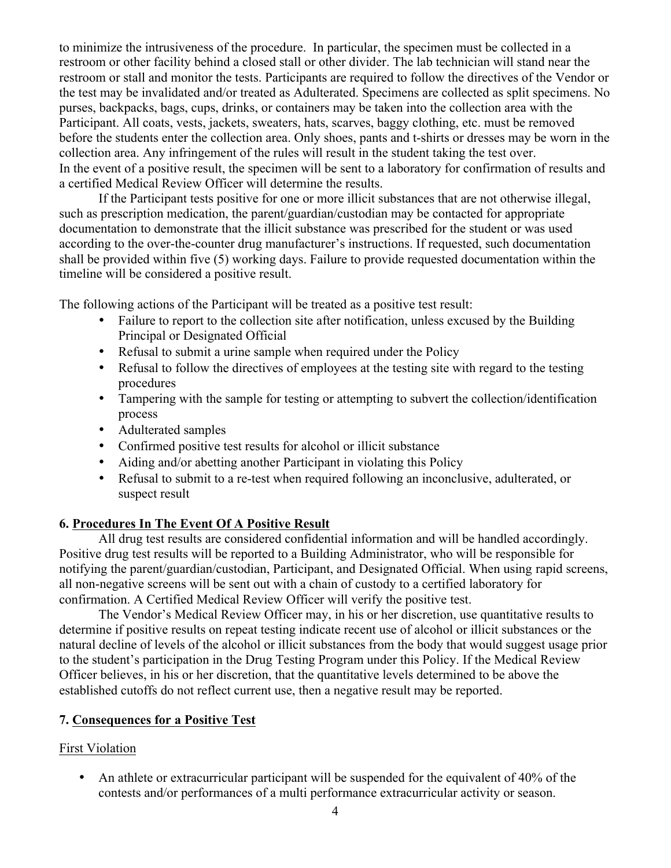to minimize the intrusiveness of the procedure. In particular, the specimen must be collected in a restroom or other facility behind a closed stall or other divider. The lab technician will stand near the restroom or stall and monitor the tests. Participants are required to follow the directives of the Vendor or the test may be invalidated and/or treated as Adulterated. Specimens are collected as split specimens. No purses, backpacks, bags, cups, drinks, or containers may be taken into the collection area with the Participant. All coats, vests, jackets, sweaters, hats, scarves, baggy clothing, etc. must be removed before the students enter the collection area. Only shoes, pants and t-shirts or dresses may be worn in the collection area. Any infringement of the rules will result in the student taking the test over. In the event of a positive result, the specimen will be sent to a laboratory for confirmation of results and a certified Medical Review Officer will determine the results.

If the Participant tests positive for one or more illicit substances that are not otherwise illegal, such as prescription medication, the parent/guardian/custodian may be contacted for appropriate documentation to demonstrate that the illicit substance was prescribed for the student or was used according to the over-the-counter drug manufacturer's instructions. If requested, such documentation shall be provided within five (5) working days. Failure to provide requested documentation within the timeline will be considered a positive result.

The following actions of the Participant will be treated as a positive test result:

- Failure to report to the collection site after notification, unless excused by the Building Principal or Designated Official
- Refusal to submit a urine sample when required under the Policy
- Refusal to follow the directives of employees at the testing site with regard to the testing procedures
- Tampering with the sample for testing or attempting to subvert the collection/identification process
- Adulterated samples
- Confirmed positive test results for alcohol or illicit substance
- Aiding and/or abetting another Participant in violating this Policy
- Refusal to submit to a re-test when required following an inconclusive, adulterated, or suspect result

#### **6. Procedures In The Event Of A Positive Result**

All drug test results are considered confidential information and will be handled accordingly. Positive drug test results will be reported to a Building Administrator, who will be responsible for notifying the parent/guardian/custodian, Participant, and Designated Official. When using rapid screens, all non-negative screens will be sent out with a chain of custody to a certified laboratory for confirmation. A Certified Medical Review Officer will verify the positive test.

The Vendor's Medical Review Officer may, in his or her discretion, use quantitative results to determine if positive results on repeat testing indicate recent use of alcohol or illicit substances or the natural decline of levels of the alcohol or illicit substances from the body that would suggest usage prior to the student's participation in the Drug Testing Program under this Policy. If the Medical Review Officer believes, in his or her discretion, that the quantitative levels determined to be above the established cutoffs do not reflect current use, then a negative result may be reported.

## **7. Consequences for a Positive Test**

## First Violation

• An athlete or extracurricular participant will be suspended for the equivalent of 40% of the contests and/or performances of a multi performance extracurricular activity or season.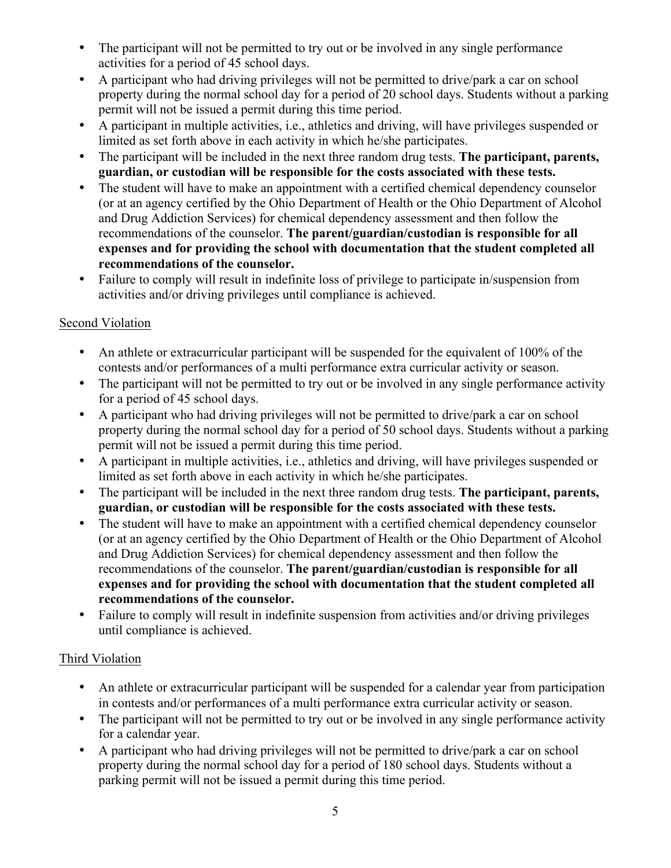- The participant will not be permitted to try out or be involved in any single performance activities for a period of 45 school days.
- A participant who had driving privileges will not be permitted to drive/park a car on school property during the normal school day for a period of 20 school days. Students without a parking permit will not be issued a permit during this time period.
- A participant in multiple activities, i.e., athletics and driving, will have privileges suspended or limited as set forth above in each activity in which he/she participates.
- The participant will be included in the next three random drug tests. **The participant, parents, guardian, or custodian will be responsible for the costs associated with these tests.**
- The student will have to make an appointment with a certified chemical dependency counselor (or at an agency certified by the Ohio Department of Health or the Ohio Department of Alcohol and Drug Addiction Services) for chemical dependency assessment and then follow the recommendations of the counselor. **The parent/guardian/custodian is responsible for all expenses and for providing the school with documentation that the student completed all recommendations of the counselor.**
- Failure to comply will result in indefinite loss of privilege to participate in/suspension from activities and/or driving privileges until compliance is achieved.

# Second Violation

- An athlete or extracurricular participant will be suspended for the equivalent of 100% of the contests and/or performances of a multi performance extra curricular activity or season.
- The participant will not be permitted to try out or be involved in any single performance activity for a period of 45 school days.
- A participant who had driving privileges will not be permitted to drive/park a car on school property during the normal school day for a period of 50 school days. Students without a parking permit will not be issued a permit during this time period.
- A participant in multiple activities, i.e., athletics and driving, will have privileges suspended or limited as set forth above in each activity in which he/she participates.
- The participant will be included in the next three random drug tests. **The participant, parents, guardian, or custodian will be responsible for the costs associated with these tests.**
- The student will have to make an appointment with a certified chemical dependency counselor (or at an agency certified by the Ohio Department of Health or the Ohio Department of Alcohol and Drug Addiction Services) for chemical dependency assessment and then follow the recommendations of the counselor. **The parent/guardian/custodian is responsible for all expenses and for providing the school with documentation that the student completed all recommendations of the counselor.**
- Failure to comply will result in indefinite suspension from activities and/or driving privileges until compliance is achieved.

## Third Violation

- An athlete or extracurricular participant will be suspended for a calendar year from participation in contests and/or performances of a multi performance extra curricular activity or season.
- The participant will not be permitted to try out or be involved in any single performance activity for a calendar year.
- A participant who had driving privileges will not be permitted to drive/park a car on school property during the normal school day for a period of 180 school days. Students without a parking permit will not be issued a permit during this time period.